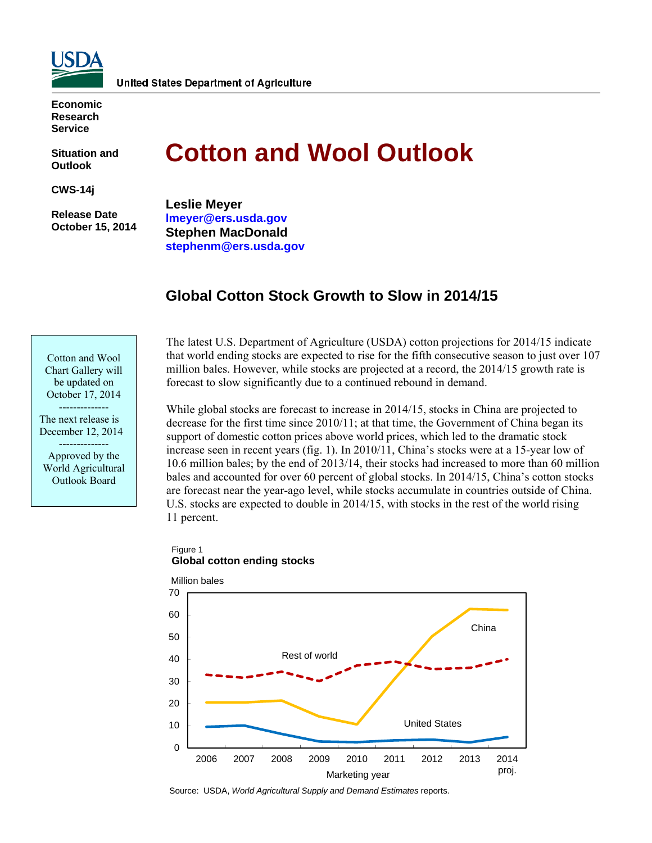

**Economic Research Service** 

**Situation and Outlook** 

**CWS-14j** 

 **Release Date October 15, 2014** 

# **Cotton and Wool Outlook**

**Leslie Meyer lmeyer@ers.usda.gov Stephen MacDonald stephenm@ers.usda.gov** 

# **Global Cotton Stock Growth to Slow in 2014/15**

Cotton and Wool Chart Gallery will be updated on October 17, 2014 --------------

The next release is December 12, 2014 -------------- Approved by the

World Agricultural Outlook Board

The latest U.S. Department of Agriculture (USDA) cotton projections for 2014/15 indicate that world ending stocks are expected to rise for the fifth consecutive season to just over 107 million bales. However, while stocks are projected at a record, the 2014/15 growth rate is forecast to slow significantly due to a continued rebound in demand.

While global stocks are forecast to increase in 2014/15, stocks in China are projected to decrease for the first time since 2010/11; at that time, the Government of China began its support of domestic cotton prices above world prices, which led to the dramatic stock increase seen in recent years (fig. 1). In 2010/11, China's stocks were at a 15-year low of 10.6 million bales; by the end of 2013/14, their stocks had increased to more than 60 million bales and accounted for over 60 percent of global stocks. In 2014/15, China's cotton stocks are forecast near the year-ago level, while stocks accumulate in countries outside of China. U.S. stocks are expected to double in 2014/15, with stocks in the rest of the world rising 11 percent.

#### Figure 1 **Global cotton ending stocks**



Source: USDA, *World Agricultural Supply and Demand Estimates* reports.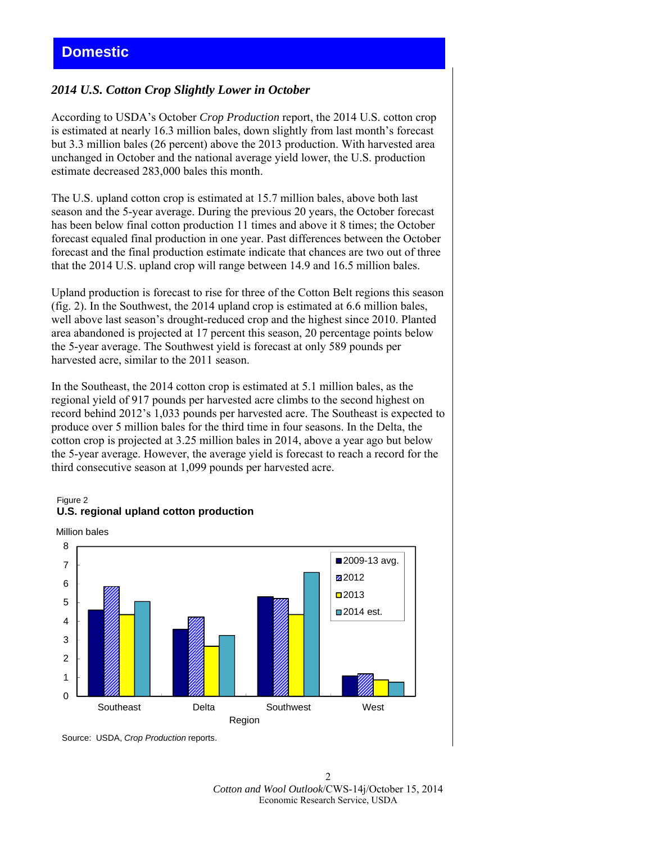# *2014 U.S. Cotton Crop Slightly Lower in October*

According to USDA's October *Crop Production* report, the 2014 U.S. cotton crop is estimated at nearly 16.3 million bales, down slightly from last month's forecast but 3.3 million bales (26 percent) above the 2013 production. With harvested area unchanged in October and the national average yield lower, the U.S. production estimate decreased 283,000 bales this month.

The U.S. upland cotton crop is estimated at 15.7 million bales, above both last season and the 5-year average. During the previous 20 years, the October forecast has been below final cotton production 11 times and above it 8 times; the October forecast equaled final production in one year. Past differences between the October forecast and the final production estimate indicate that chances are two out of three that the 2014 U.S. upland crop will range between 14.9 and 16.5 million bales.

Upland production is forecast to rise for three of the Cotton Belt regions this season (fig. 2). In the Southwest, the 2014 upland crop is estimated at 6.6 million bales, well above last season's drought-reduced crop and the highest since 2010. Planted area abandoned is projected at 17 percent this season, 20 percentage points below the 5-year average. The Southwest yield is forecast at only 589 pounds per harvested acre, similar to the 2011 season.

In the Southeast, the 2014 cotton crop is estimated at 5.1 million bales, as the regional yield of 917 pounds per harvested acre climbs to the second highest on record behind 2012's 1,033 pounds per harvested acre. The Southeast is expected to produce over 5 million bales for the third time in four seasons. In the Delta, the cotton crop is projected at 3.25 million bales in 2014, above a year ago but below the 5-year average. However, the average yield is forecast to reach a record for the third consecutive season at 1,099 pounds per harvested acre.

#### Figure 2 **U.S. regional upland cotton production**





Source: USDA, *Crop Production* reports.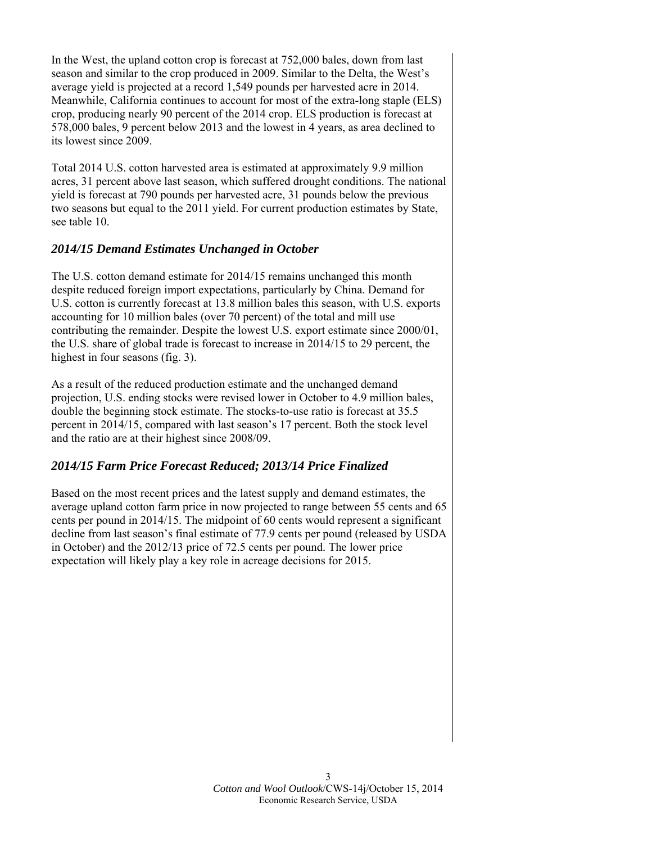In the West, the upland cotton crop is forecast at 752,000 bales, down from last season and similar to the crop produced in 2009. Similar to the Delta, the West's average yield is projected at a record 1,549 pounds per harvested acre in 2014. Meanwhile, California continues to account for most of the extra-long staple (ELS) crop, producing nearly 90 percent of the 2014 crop. ELS production is forecast at 578,000 bales, 9 percent below 2013 and the lowest in 4 years, as area declined to its lowest since 2009.

Total 2014 U.S. cotton harvested area is estimated at approximately 9.9 million acres, 31 percent above last season, which suffered drought conditions. The national yield is forecast at 790 pounds per harvested acre, 31 pounds below the previous two seasons but equal to the 2011 yield. For current production estimates by State, see table 10.

# *2014/15 Demand Estimates Unchanged in October*

The U.S. cotton demand estimate for 2014/15 remains unchanged this month despite reduced foreign import expectations, particularly by China. Demand for U.S. cotton is currently forecast at 13.8 million bales this season, with U.S. exports accounting for 10 million bales (over 70 percent) of the total and mill use contributing the remainder. Despite the lowest U.S. export estimate since 2000/01, the U.S. share of global trade is forecast to increase in 2014/15 to 29 percent, the highest in four seasons (fig. 3).

As a result of the reduced production estimate and the unchanged demand projection, U.S. ending stocks were revised lower in October to 4.9 million bales, double the beginning stock estimate. The stocks-to-use ratio is forecast at 35.5 percent in 2014/15, compared with last season's 17 percent. Both the stock level and the ratio are at their highest since 2008/09.

# *2014/15 Farm Price Forecast Reduced; 2013/14 Price Finalized*

Based on the most recent prices and the latest supply and demand estimates, the average upland cotton farm price in now projected to range between 55 cents and 65 cents per pound in 2014/15. The midpoint of 60 cents would represent a significant decline from last season's final estimate of 77.9 cents per pound (released by USDA in October) and the 2012/13 price of 72.5 cents per pound. The lower price expectation will likely play a key role in acreage decisions for 2015.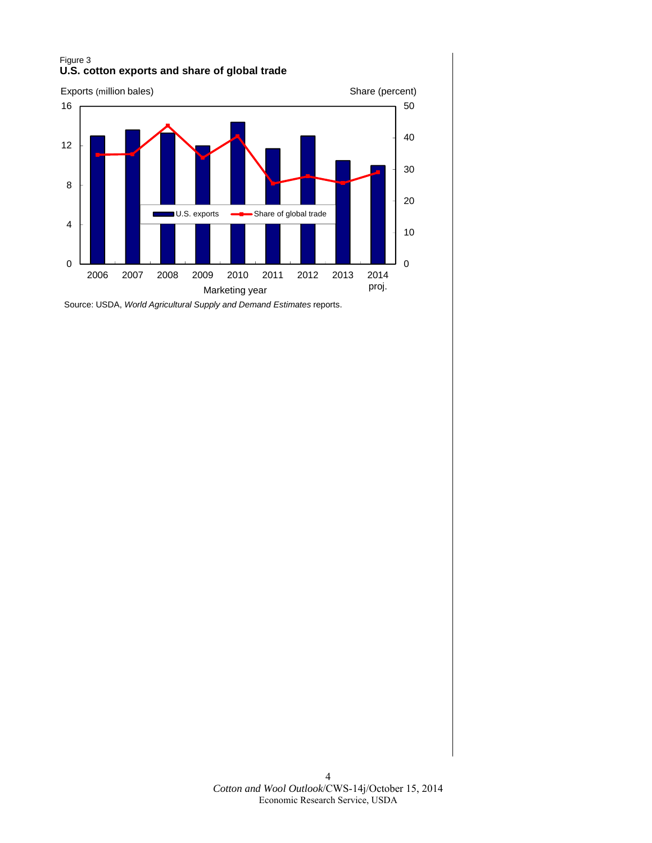## Figure 3 **U.S. cotton exports and share of global trade**



Source: USDA, *World Agricultural Supply and Demand Estimates* reports.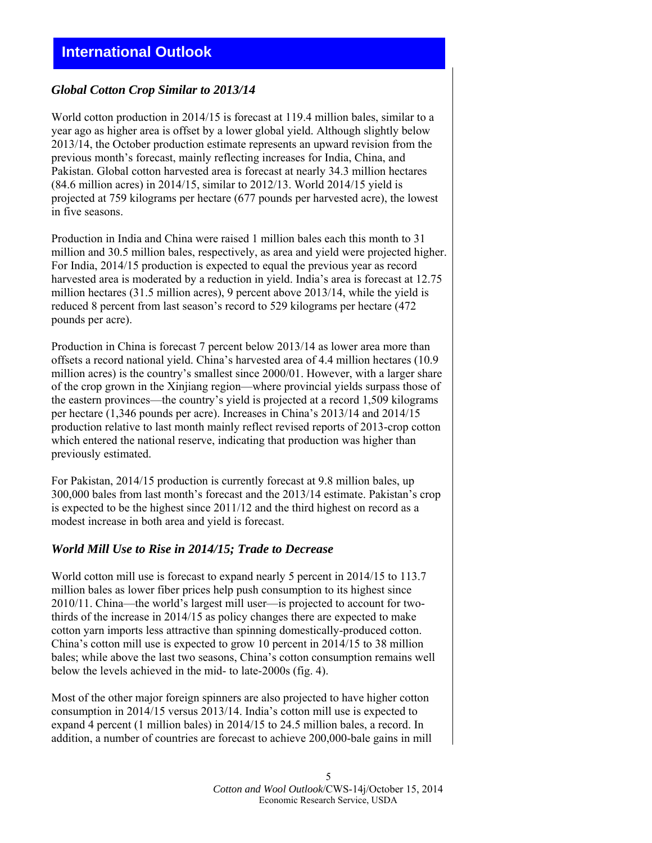# **International Outlook**

# *Global Cotton Crop Similar to 2013/14*

World cotton production in 2014/15 is forecast at 119.4 million bales, similar to a year ago as higher area is offset by a lower global yield. Although slightly below 2013/14, the October production estimate represents an upward revision from the previous month's forecast, mainly reflecting increases for India, China, and Pakistan. Global cotton harvested area is forecast at nearly 34.3 million hectares (84.6 million acres) in 2014/15, similar to 2012/13. World 2014/15 yield is projected at 759 kilograms per hectare (677 pounds per harvested acre), the lowest in five seasons.

Production in India and China were raised 1 million bales each this month to 31 million and 30.5 million bales, respectively, as area and yield were projected higher. For India, 2014/15 production is expected to equal the previous year as record harvested area is moderated by a reduction in yield. India's area is forecast at 12.75 million hectares (31.5 million acres), 9 percent above 2013/14, while the yield is reduced 8 percent from last season's record to 529 kilograms per hectare (472 pounds per acre).

Production in China is forecast 7 percent below 2013/14 as lower area more than offsets a record national yield. China's harvested area of 4.4 million hectares (10.9 million acres) is the country's smallest since 2000/01. However, with a larger share of the crop grown in the Xinjiang region—where provincial yields surpass those of the eastern provinces—the country's yield is projected at a record 1,509 kilograms per hectare (1,346 pounds per acre). Increases in China's 2013/14 and 2014/15 production relative to last month mainly reflect revised reports of 2013-crop cotton which entered the national reserve, indicating that production was higher than previously estimated.

For Pakistan, 2014/15 production is currently forecast at 9.8 million bales, up 300,000 bales from last month's forecast and the 2013/14 estimate. Pakistan's crop is expected to be the highest since 2011/12 and the third highest on record as a modest increase in both area and yield is forecast.

#### *World Mill Use to Rise in 2014/15; Trade to Decrease*

World cotton mill use is forecast to expand nearly 5 percent in 2014/15 to 113.7 million bales as lower fiber prices help push consumption to its highest since 2010/11. China—the world's largest mill user—is projected to account for twothirds of the increase in 2014/15 as policy changes there are expected to make cotton yarn imports less attractive than spinning domestically-produced cotton. China's cotton mill use is expected to grow 10 percent in 2014/15 to 38 million bales; while above the last two seasons, China's cotton consumption remains well below the levels achieved in the mid- to late-2000s (fig. 4).

Most of the other major foreign spinners are also projected to have higher cotton consumption in 2014/15 versus 2013/14. India's cotton mill use is expected to expand 4 percent (1 million bales) in 2014/15 to 24.5 million bales, a record. In addition, a number of countries are forecast to achieve 200,000-bale gains in mill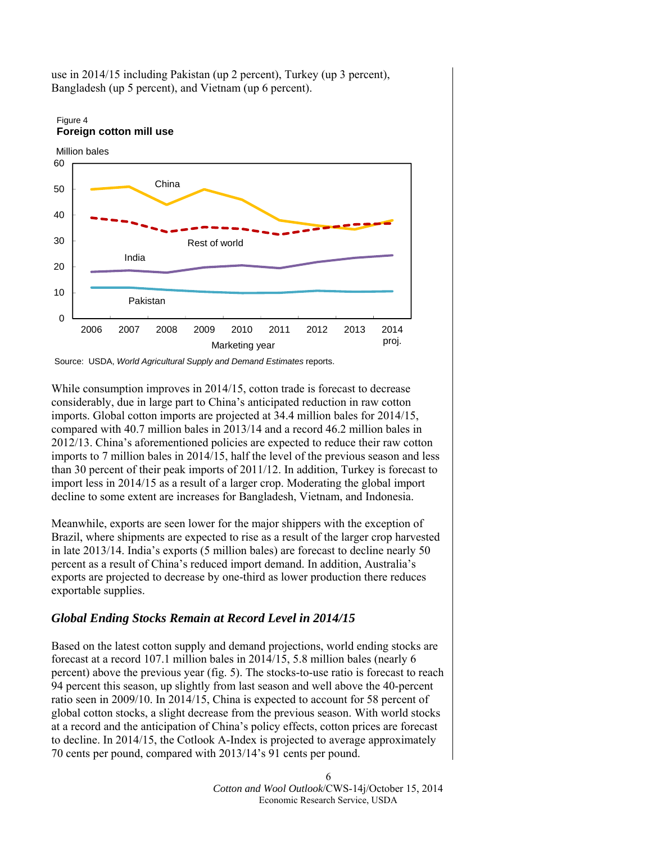

use in 2014/15 including Pakistan (up 2 percent), Turkey (up 3 percent), Bangladesh (up 5 percent), and Vietnam (up 6 percent).

While consumption improves in 2014/15, cotton trade is forecast to decrease considerably, due in large part to China's anticipated reduction in raw cotton imports. Global cotton imports are projected at 34.4 million bales for 2014/15, compared with 40.7 million bales in 2013/14 and a record 46.2 million bales in 2012/13. China's aforementioned policies are expected to reduce their raw cotton imports to 7 million bales in 2014/15, half the level of the previous season and less than 30 percent of their peak imports of 2011/12. In addition, Turkey is forecast to import less in 2014/15 as a result of a larger crop. Moderating the global import decline to some extent are increases for Bangladesh, Vietnam, and Indonesia.

Meanwhile, exports are seen lower for the major shippers with the exception of Brazil, where shipments are expected to rise as a result of the larger crop harvested in late 2013/14. India's exports (5 million bales) are forecast to decline nearly 50 percent as a result of China's reduced import demand. In addition, Australia's exports are projected to decrease by one-third as lower production there reduces exportable supplies.

# *Global Ending Stocks Remain at Record Level in 2014/15*

Based on the latest cotton supply and demand projections, world ending stocks are forecast at a record 107.1 million bales in 2014/15, 5.8 million bales (nearly 6 percent) above the previous year (fig. 5). The stocks-to-use ratio is forecast to reach 94 percent this season, up slightly from last season and well above the 40-percent ratio seen in 2009/10. In 2014/15, China is expected to account for 58 percent of global cotton stocks, a slight decrease from the previous season. With world stocks at a record and the anticipation of China's policy effects, cotton prices are forecast to decline. In 2014/15, the Cotlook A-Index is projected to average approximately 70 cents per pound, compared with 2013/14's 91 cents per pound.

> 6 *Cotton and Wool Outlook*/CWS-14j/October 15, 2014 Economic Research Service, USDA

Source: USDA, *World Agricultural Supply and Demand Estimates* reports.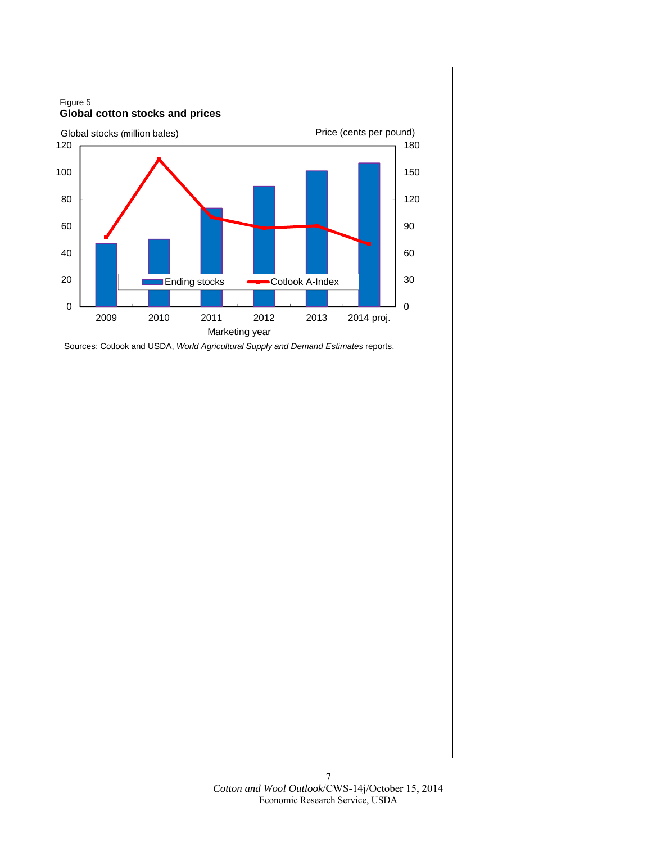2009 2010 2011 2012 2013 2014 proj. **Example 3** Ending stocks **Cotlook A-Index** Figure 5 **Global cotton stocks and prices** Global stocks (million bales) example and price (cents per pound) Marketing year

Sources: Cotlook and USDA, *World Agricultural Supply and Demand Estimates* reports.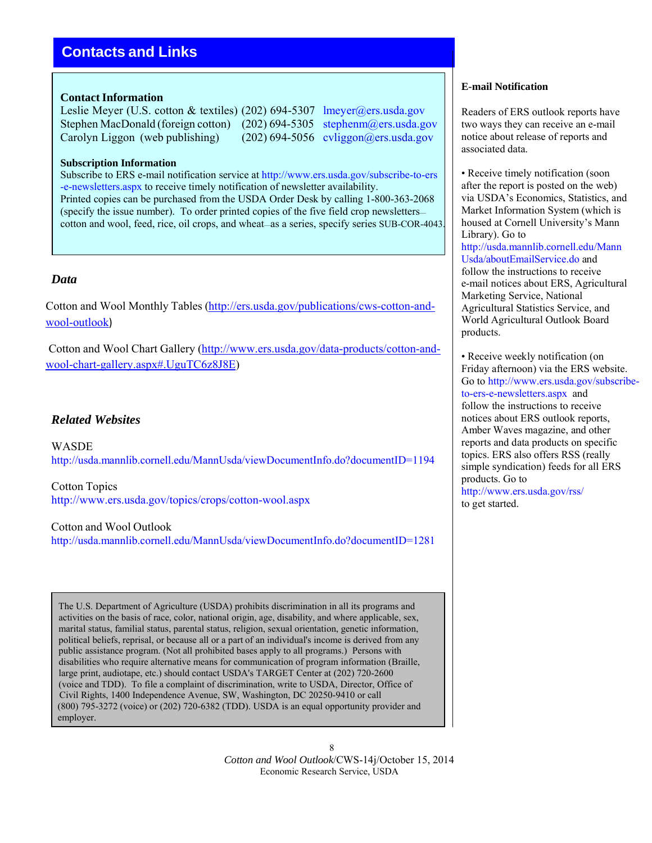# **Contacts and Links**

## **Contact Information**

Leslie Meyer (U.S. cotton & textiles) (202) 694-5307 lmeyer@ers.usda.gov Stephen MacDonald (foreign cotton) (202) 694-5305 stephenm@ers.usda.gov Carolyn Liggon (web publishing) (202) 694-5056 cyliggon@ers.usda.gov

#### **Subscription Information**

Subscribe to ERS e-mail notification service at http://www.ers.usda.gov/subscribe-to-ers -e-newsletters.aspx to receive timely notification of newsletter availability. Printed copies can be purchased from the USDA Order Desk by calling 1-800-363-2068 (specify the issue number). To order printed copies of the five field crop newsletters cotton and wool, feed, rice, oil crops, and wheat—as a series, specify series SUB-COR-4043.

# *Data*

Cotton and Wool Monthly Tables (http://ers.usda.gov/publications/cws-cotton-andwool-outlook)

Cotton and Wool Chart Gallery (http://www.ers.usda.gov/data-products/cotton-andwool-chart-gallery.aspx#.UguTC6z8J8E)

# *Related Websites*

WASDE http://usda.mannlib.cornell.edu/MannUsda/viewDocumentInfo.do?documentID=1194

Cotton Topics http://www.ers.usda.gov/topics/crops/cotton-wool.aspx

Cotton and Wool Outlook http://usda.mannlib.cornell.edu/MannUsda/viewDocumentInfo.do?documentID=1281

The U.S. Department of Agriculture (USDA) prohibits discrimination in all its programs and activities on the basis of race, color, national origin, age, disability, and where applicable, sex, marital status, familial status, parental status, religion, sexual orientation, genetic information, political beliefs, reprisal, or because all or a part of an individual's income is derived from any public assistance program. (Not all prohibited bases apply to all programs.) Persons with disabilities who require alternative means for communication of program information (Braille, large print, audiotape, etc.) should contact USDA's TARGET Center at (202) 720-2600 (voice and TDD). To file a complaint of discrimination, write to USDA, Director, Office of Civil Rights, 1400 Independence Avenue, SW, Washington, DC 20250-9410 or call (800) 795-3272 (voice) or (202) 720-6382 (TDD). USDA is an equal opportunity provider and employer.

#### **E-mail Notification**

Readers of ERS outlook reports have two ways they can receive an e-mail notice about release of reports and associated data.

• Receive timely notification (soon) after the report is posted on the web) via USDA's Economics, Statistics, and Market Information System (which is housed at Cornell University's Mann Library). Go to http://usda.mannlib.cornell.edu/Mann Usda/aboutEmailService.do and follow the instructions to receive e-mail notices about ERS, Agricultural Marketing Service, National Agricultural Statistics Service, and World Agricultural Outlook Board products.

• Receive weekly notification (on Friday afternoon) via the ERS website. Go to http://www.ers.usda.gov/subscribeto-ers-e-newsletters.aspx and follow the instructions to receive notices about ERS outlook reports, Amber Waves magazine, and other reports and data products on specific topics. ERS also offers RSS (really simple syndication) feeds for all ERS products. Go to http://www.ers.usda.gov/rss/ to get started.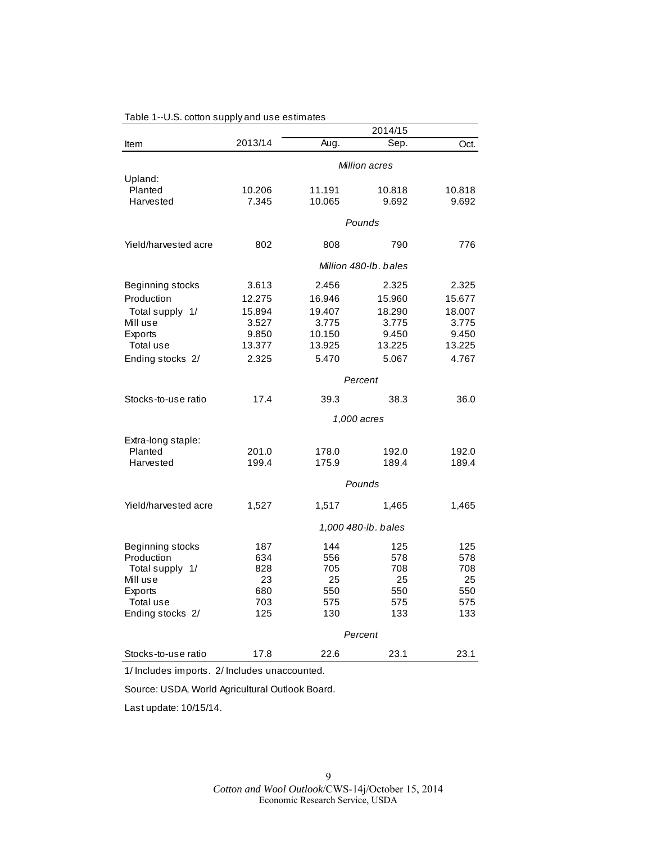|                      |         |        | 2014/15               |        |
|----------------------|---------|--------|-----------------------|--------|
| Item                 | 2013/14 | Aug.   | Sep.                  | Oct.   |
|                      |         |        | Million acres         |        |
| Upland:              |         |        |                       |        |
| Planted              | 10.206  | 11.191 | 10.818                | 10.818 |
| Harvested            | 7.345   | 10.065 | 9.692                 | 9.692  |
|                      |         |        | Pounds                |        |
| Yield/harvested acre | 802     | 808    | 790                   | 776    |
|                      |         |        | Million 480-lb, bales |        |
| Beginning stocks     | 3.613   | 2.456  | 2.325                 | 2.325  |
| Production           | 12.275  | 16.946 | 15.960                | 15.677 |
| Total supply 1/      | 15.894  | 19.407 | 18.290                | 18.007 |
| Mill use             | 3.527   | 3.775  | 3.775                 | 3.775  |
| Exports              | 9.850   | 10.150 | 9.450                 | 9.450  |
| Total use            | 13.377  | 13.925 | 13.225                | 13.225 |
| Ending stocks 2/     | 2.325   | 5.470  | 5.067                 | 4.767  |
|                      |         |        | Percent               |        |
| Stocks-to-use ratio  | 17.4    | 39.3   | 38.3                  | 36.0   |
|                      |         |        | 1,000 acres           |        |
| Extra-long staple:   |         |        |                       |        |
| Planted              | 201.0   | 178.0  | 192.0                 | 192.0  |
| Harvested            | 199.4   | 175.9  | 189.4                 | 189.4  |
|                      |         |        | Pounds                |        |
| Yield/harvested acre | 1,527   | 1,517  | 1,465                 | 1,465  |
|                      |         |        | 1,000 480-lb. bales   |        |
| Beginning stocks     | 187     | 144    | 125                   | 125    |
| Production           | 634     | 556    | 578                   | 578    |
| Total supply 1/      | 828     | 705    | 708                   | 708    |
| Mill use             | 23      | 25     | 25                    | 25     |
| Exports              | 680     | 550    | 550                   | 550    |
| Total use            | 703     | 575    | 575                   | 575    |
| Ending stocks 2/     | 125     | 130    | 133                   | 133    |
|                      |         |        | Percent               |        |
| Stocks-to-use ratio  | 17.8    | 22.6   | 23.1                  | 23.1   |

## Table 1--U.S. cotton supply and use estimates

1/ Includes imports. 2/ Includes unaccounted.

Source: USDA, World Agricultural Outlook Board.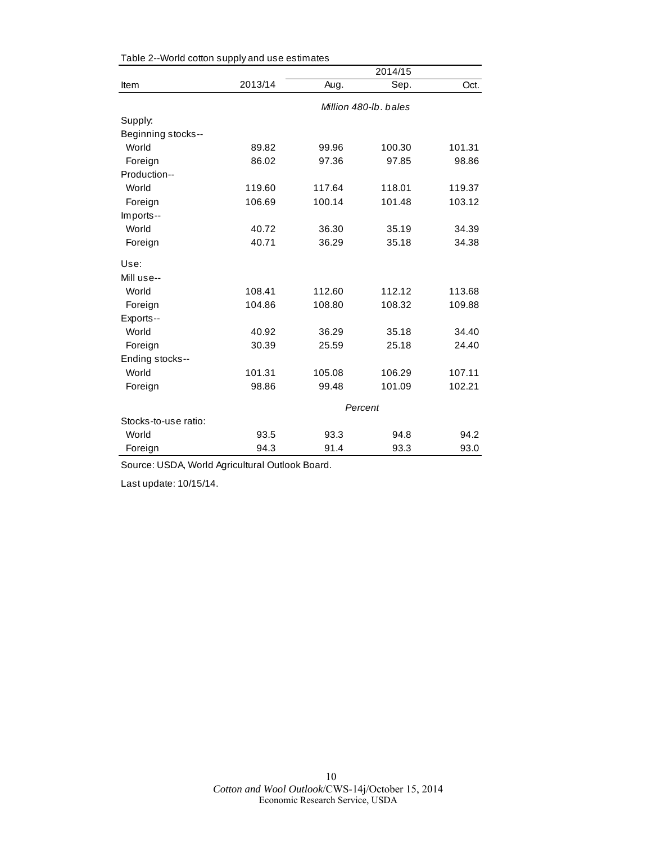|                      |         | 2014/15 |                       |        |  |
|----------------------|---------|---------|-----------------------|--------|--|
| Item                 | 2013/14 | Aug.    | Sep.                  | Oct.   |  |
|                      |         |         | Million 480-lb, bales |        |  |
| Supply:              |         |         |                       |        |  |
| Beginning stocks--   |         |         |                       |        |  |
| World                | 89.82   | 99.96   | 100.30                | 101.31 |  |
| Foreign              | 86.02   | 97.36   | 97.85                 | 98.86  |  |
| Production--         |         |         |                       |        |  |
| World                | 119.60  | 117.64  | 118.01                | 119.37 |  |
| Foreign              | 106.69  | 100.14  | 101.48                | 103.12 |  |
| Imports--            |         |         |                       |        |  |
| World                | 40.72   | 36.30   | 35.19                 | 34.39  |  |
| Foreign              | 40.71   | 36.29   | 35.18                 | 34.38  |  |
| Use:                 |         |         |                       |        |  |
| Mill use--           |         |         |                       |        |  |
| World                | 108.41  | 112.60  | 112.12                | 113.68 |  |
| Foreign              | 104.86  | 108.80  | 108.32                | 109.88 |  |
| Exports--            |         |         |                       |        |  |
| World                | 40.92   | 36.29   | 35.18                 | 34.40  |  |
| Foreign              | 30.39   | 25.59   | 25.18                 | 24.40  |  |
| Ending stocks--      |         |         |                       |        |  |
| World                | 101.31  | 105.08  | 106.29                | 107.11 |  |
| Foreign              | 98.86   | 99.48   | 101.09                | 102.21 |  |
|                      |         |         | Percent               |        |  |
| Stocks-to-use ratio: |         |         |                       |        |  |
| World                | 93.5    | 93.3    | 94.8                  | 94.2   |  |
| Foreign              | 94.3    | 91.4    | 93.3                  | 93.0   |  |

Table 2--World cotton supply and use estimates

Source: USDA, World Agricultural Outlook Board.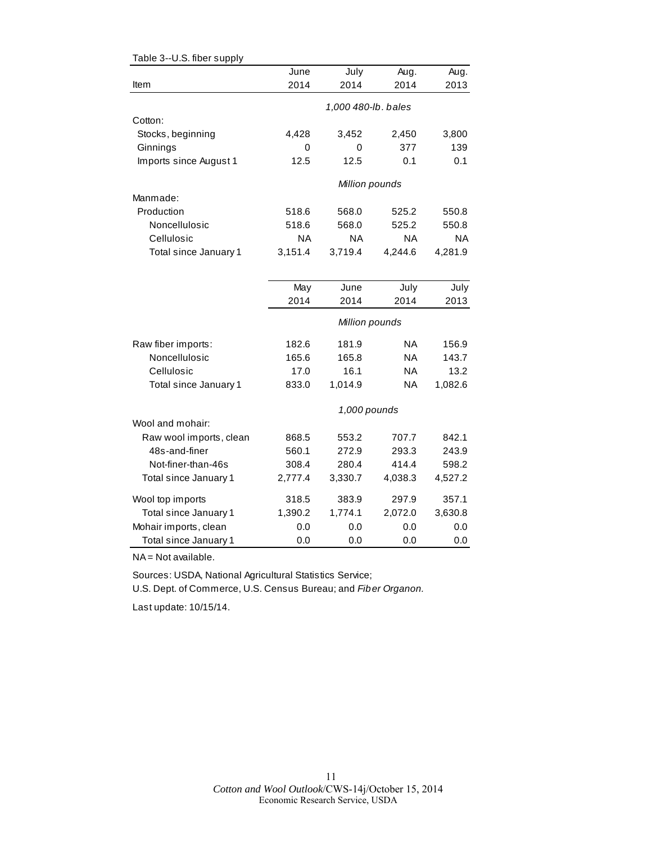| Table 3--U.S. fiber supply |           |                     |           |           |
|----------------------------|-----------|---------------------|-----------|-----------|
|                            | June      | July                | Aug.      | Aug.      |
| Item                       | 2014      | 2014                | 2014      | 2013      |
|                            |           | 1,000 480-lb. bales |           |           |
| Cotton:                    |           |                     |           |           |
| Stocks, beginning          | 4,428     | 3,452               | 2,450     | 3,800     |
| Ginnings                   | 0         | 0                   | 377       | 139       |
| Imports since August 1     | 12.5      | 12.5                | 0.1       | 0.1       |
|                            |           | Million pounds      |           |           |
| Manmade:                   |           |                     |           |           |
| Production                 | 518.6     | 568.0               | 525.2     | 550.8     |
| Noncellulosic              | 518.6     | 568.0               | 525.2     | 550.8     |
| Cellulosic                 | <b>NA</b> | <b>NA</b>           | <b>NA</b> | <b>NA</b> |
| Total since January 1      | 3,151.4   | 3,719.4             | 4,244.6   | 4,281.9   |
|                            |           |                     |           |           |
|                            | May       | June                | July      | July      |
|                            | 2014      | 2014                | 2014      | 2013      |
|                            |           | Million pounds      |           |           |
| Raw fiber imports:         | 182.6     | 181.9               | NA        | 156.9     |
| Noncellulosic              | 165.6     | 165.8               | <b>NA</b> | 143.7     |
| Cellulosic                 | 17.0      | 16.1                | <b>NA</b> | 13.2      |
| Total since January 1      | 833.0     | 1,014.9             | <b>NA</b> | 1,082.6   |
|                            |           | 1,000 pounds        |           |           |
| Wool and mohair:           |           |                     |           |           |
| Raw wool imports, clean    | 868.5     | 553.2               | 707.7     | 842.1     |
| 48s-and-finer              | 560.1     | 272.9               | 293.3     | 243.9     |
| Not-finer-than-46s         | 308.4     | 280.4               | 414.4     | 598.2     |
| Total since January 1      | 2,777.4   | 3,330.7             | 4,038.3   | 4,527.2   |
| Wool top imports           | 318.5     | 383.9               | 297.9     | 357.1     |
| Total since January 1      | 1,390.2   | 1,774.1             | 2,072.0   | 3,630.8   |
| Mohair imports, clean      | 0.0       | 0.0                 | 0.0       | 0.0       |
| Total since January 1      | 0.0       | 0.0                 | 0.0       | 0.0       |

NA = Not available.

Sources: USDA, National Agricultural Statistics Service;

U.S. Dept. of Commerce, U.S. Census Bureau; and *Fiber Organon.*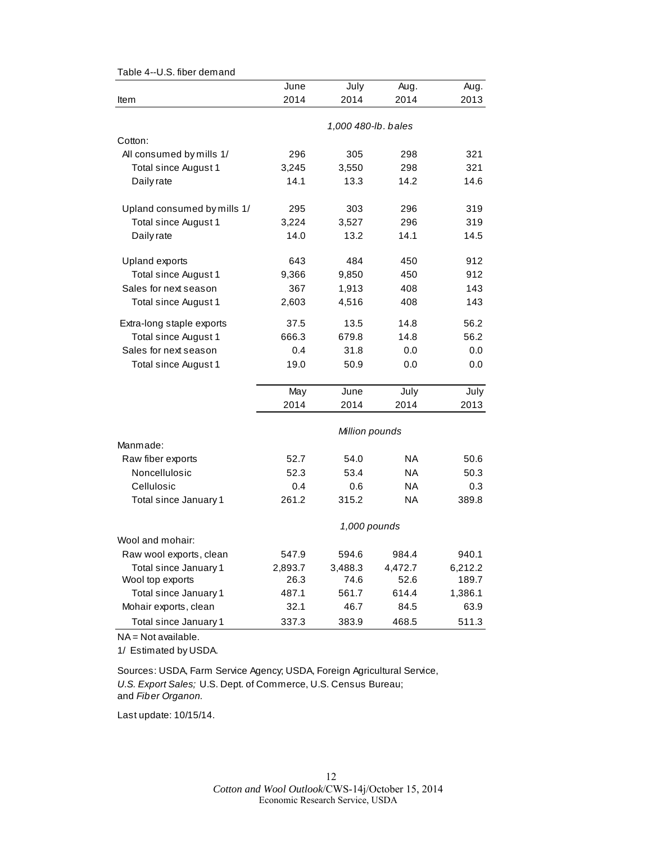| ס.ט. ווטכו עכווומווע        |              |                     |           |         |  |  |
|-----------------------------|--------------|---------------------|-----------|---------|--|--|
|                             | June         | July                | Aug.      | Aug.    |  |  |
| Item                        | 2014         | 2014                | 2014      | 2013    |  |  |
|                             |              | 1,000 480-lb. bales |           |         |  |  |
| Cotton:                     |              |                     |           |         |  |  |
| All consumed by mills 1/    | 296          | 305                 | 298       | 321     |  |  |
| Total since August 1        | 3,245        | 3,550               | 298       | 321     |  |  |
| Daily rate                  | 14.1         | 13.3                | 14.2      | 14.6    |  |  |
| Upland consumed by mills 1/ | 295          | 303                 | 296       | 319     |  |  |
| Total since August 1        | 3,224        | 3,527               | 296       | 319     |  |  |
| Daily rate                  | 14.0         | 13.2                | 14.1      | 14.5    |  |  |
| Upland exports              | 643          | 484                 | 450       | 912     |  |  |
| Total since August 1        | 9,366        | 9,850               | 450       | 912     |  |  |
| Sales for next season       | 367          | 1,913               | 408       | 143     |  |  |
| Total since August 1        | 2,603        | 4,516               | 408       | 143     |  |  |
| Extra-long staple exports   | 37.5         | 13.5                | 14.8      | 56.2    |  |  |
| Total since August 1        | 666.3        | 679.8               | 14.8      | 56.2    |  |  |
| Sales for next season       | 0.4          | 31.8                | 0.0       | 0.0     |  |  |
| Total since August 1        | 19.0         | 50.9                | 0.0       | 0.0     |  |  |
|                             | May          | June                | July      | July    |  |  |
|                             | 2014         | 2014                | 2014      | 2013    |  |  |
|                             |              | Million pounds      |           |         |  |  |
| Manmade:                    |              |                     |           |         |  |  |
| Raw fiber exports           | 52.7         | 54.0                | NA        | 50.6    |  |  |
| Noncellulosic               | 52.3         | 53.4                | ΝA        | 50.3    |  |  |
| Cellulosic                  | 0.4          | 0.6                 | <b>NA</b> | 0.3     |  |  |
| Total since January 1       | 261.2        | 315.2               | <b>NA</b> | 389.8   |  |  |
|                             | 1,000 pounds |                     |           |         |  |  |
| Wool and mohair:            |              |                     |           |         |  |  |
| Raw wool exports, clean     | 547.9        | 594.6               | 984.4     | 940.1   |  |  |
| Total since January 1       | 2,893.7      | 3,488.3             | 4,472.7   | 6,212.2 |  |  |
| Wool top exports            | 26.3         | 74.6                | 52.6      | 189.7   |  |  |
| Total since January 1       | 487.1        | 561.7               | 614.4     | 1,386.1 |  |  |
| Mohair exports, clean       | 32.1         | 46.7                | 84.5      | 63.9    |  |  |
| Total since January 1       | 337.3        | 383.9               | 468.5     | 511.3   |  |  |

Table 4--U.S. fiber demand

NA = Not available.

1/ Estimated by USDA.

Sources: USDA, Farm Service Agency; USDA, Foreign Agricultural Service, *U.S. Export Sales;* U.S. Dept. of Commerce, U.S. Census Bureau; and *Fiber Organon.*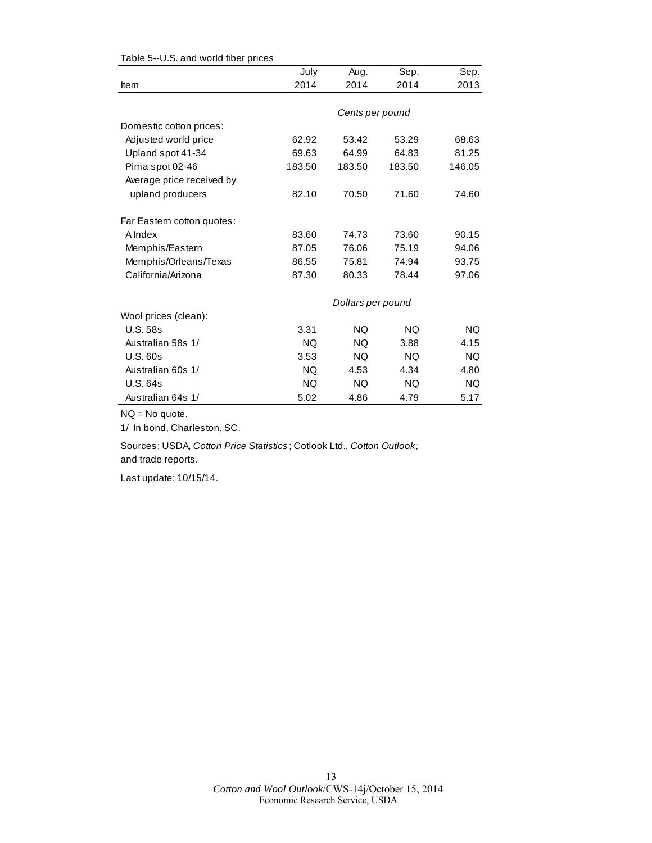|                            | July      | Aug.              | Sep.      | Sep.      |
|----------------------------|-----------|-------------------|-----------|-----------|
| Item                       | 2014      | 2014              | 2014      | 2013      |
|                            |           |                   |           |           |
|                            |           | Cents per pound   |           |           |
| Domestic cotton prices:    |           |                   |           |           |
| Adjusted world price       | 62.92     | 53.42             | 53.29     | 68.63     |
| Upland spot 41-34          | 69.63     | 64.99             | 64.83     | 81.25     |
| Pima spot 02-46            | 183.50    | 183.50            | 183.50    | 146.05    |
| Average price received by  |           |                   |           |           |
| upland producers           | 82.10     | 70.50             | 71.60     | 74.60     |
| Far Eastern cotton quotes: |           |                   |           |           |
| A Index                    | 83.60     | 74.73             | 73.60     | 90.15     |
| Memphis/Eastern            | 87.05     | 76.06             | 75.19     | 94.06     |
| Memphis/Orleans/Texas      | 86.55     | 75.81             | 74.94     | 93.75     |
| California/Arizona         | 87.30     | 80.33             | 78.44     | 97.06     |
|                            |           | Dollars per pound |           |           |
| Wool prices (clean):       |           |                   |           |           |
| <b>U.S. 58s</b>            | 3.31      | <b>NQ</b>         | <b>NQ</b> | <b>NQ</b> |
| Australian 58s 1/          | NQ.       | <b>NQ</b>         | 3.88      | 4.15      |
| <b>U.S. 60s</b>            | 3.53      | <b>NQ</b>         | <b>NQ</b> | <b>NQ</b> |
| Australian 60s 1/          | <b>NQ</b> | 4.53              | 4.34      | 4.80      |
| <b>U.S. 64s</b>            | NQ.       | NQ.               | NQ.       | NQ.       |
| Australian 64s 1/          | 5.02      | 4.86              | 4.79      | 5.17      |

#### Table 5--U.S. and world fiber prices

NQ = No quote.

1/ In bond, Charleston, SC.

Sources: USDA, *Cotton Price Statistics* ; Cotlook Ltd., *Cotton Outlook;*  and trade reports.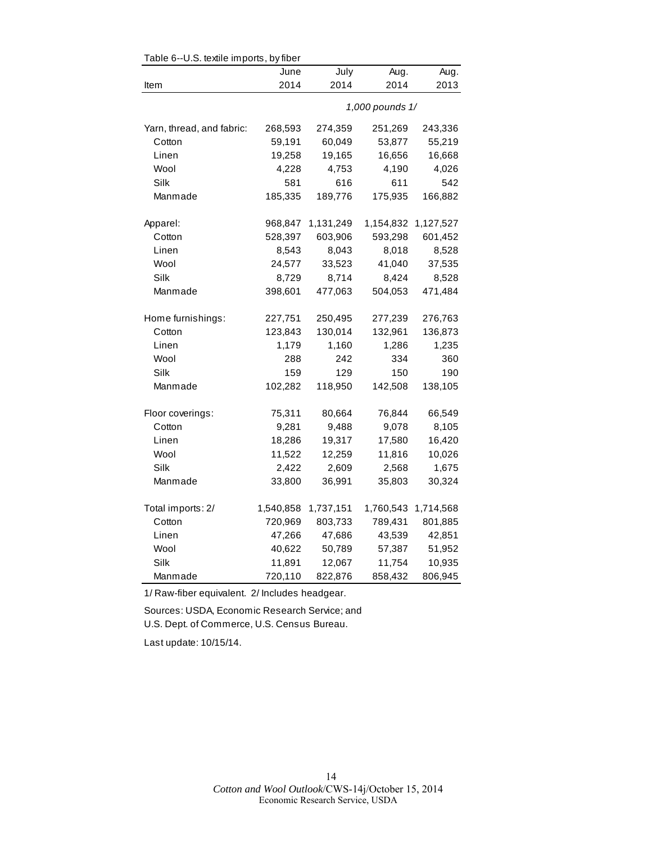| Table 6--U.S. textile imports, by fiber |           |           |                 |           |  |  |
|-----------------------------------------|-----------|-----------|-----------------|-----------|--|--|
|                                         | June      | July      | Aug.            | Aug.      |  |  |
| Item                                    | 2014      | 2014      | 2014            | 2013      |  |  |
|                                         |           |           | 1,000 pounds 1/ |           |  |  |
| Yarn, thread, and fabric:               | 268,593   | 274,359   | 251,269         | 243,336   |  |  |
| Cotton                                  | 59,191    | 60,049    | 53,877          | 55,219    |  |  |
| Linen                                   | 19,258    | 19,165    | 16,656          | 16,668    |  |  |
| Wool                                    | 4,228     | 4,753     | 4,190           | 4,026     |  |  |
| Silk                                    | 581       | 616       | 611             | 542       |  |  |
| Manmade                                 | 185,335   | 189,776   | 175,935         | 166,882   |  |  |
| Apparel:                                | 968,847   | 1,131,249 | 1,154,832       | 1,127,527 |  |  |
| Cotton                                  | 528,397   | 603,906   | 593,298         | 601,452   |  |  |
| Linen                                   | 8,543     | 8,043     | 8,018           | 8,528     |  |  |
| Wool                                    | 24,577    | 33,523    | 41,040          | 37,535    |  |  |
| Silk                                    | 8,729     | 8,714     | 8,424           | 8,528     |  |  |
| Manmade                                 | 398,601   | 477,063   | 504,053         | 471,484   |  |  |
| Home furnishings:                       | 227,751   | 250,495   | 277,239         | 276,763   |  |  |
| Cotton                                  | 123,843   | 130,014   | 132,961         | 136,873   |  |  |
| Linen                                   | 1,179     | 1,160     | 1,286           | 1,235     |  |  |
| Wool                                    | 288       | 242       | 334             | 360       |  |  |
| Silk                                    | 159       | 129       | 150             | 190       |  |  |
| Manmade                                 | 102,282   | 118,950   | 142,508         | 138,105   |  |  |
| Floor coverings:                        | 75,311    | 80,664    | 76,844          | 66,549    |  |  |
| Cotton                                  | 9,281     | 9,488     | 9,078           | 8,105     |  |  |
| Linen                                   | 18,286    | 19,317    | 17,580          | 16,420    |  |  |
| Wool                                    | 11,522    | 12,259    | 11,816          | 10,026    |  |  |
| Silk                                    | 2,422     | 2,609     | 2,568           | 1,675     |  |  |
| Manmade                                 | 33,800    | 36,991    | 35,803          | 30,324    |  |  |
| Total imports: 2/                       | 1,540,858 | 1,737,151 | 1,760,543       | 1,714,568 |  |  |
| Cotton                                  | 720,969   | 803,733   | 789,431         | 801,885   |  |  |
| Linen                                   | 47,266    | 47,686    | 43,539          | 42,851    |  |  |
| Wool                                    | 40,622    | 50,789    | 57,387          | 51,952    |  |  |
| Silk                                    | 11,891    | 12,067    | 11,754          | 10,935    |  |  |
| Manmade                                 | 720,110   | 822,876   | 858,432         | 806,945   |  |  |

1/ Raw-fiber equivalent. 2/ Includes headgear.

Sources: USDA, Economic Research Service; and U.S. Dept. of Commerce, U.S. Census Bureau.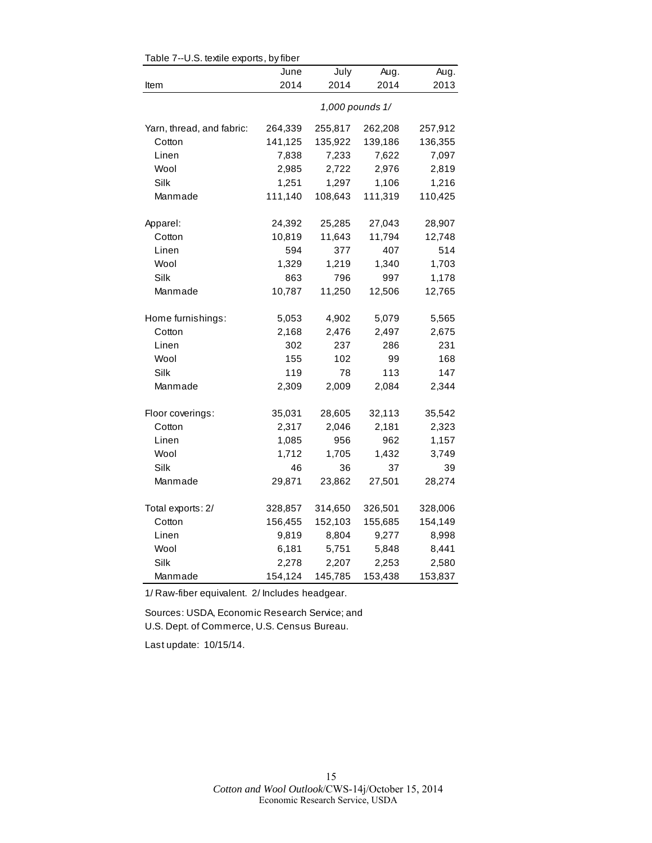| rable 7--0.5. textile exports, by liber |                 |         |         |         |  |  |
|-----------------------------------------|-----------------|---------|---------|---------|--|--|
|                                         | June            | July    | Aug.    | Aug.    |  |  |
| Item                                    | 2014            | 2014    | 2014    | 2013    |  |  |
|                                         | 1,000 pounds 1/ |         |         |         |  |  |
| Yarn, thread, and fabric:               | 264,339         | 255,817 | 262,208 | 257,912 |  |  |
| Cotton                                  | 141,125         | 135,922 | 139,186 | 136,355 |  |  |
| Linen                                   | 7,838           | 7,233   | 7,622   | 7,097   |  |  |
| Wool                                    | 2,985           | 2,722   | 2,976   | 2,819   |  |  |
| Silk                                    | 1,251           | 1,297   | 1,106   | 1,216   |  |  |
| Manmade                                 | 111,140         | 108,643 | 111,319 | 110,425 |  |  |
| Apparel:                                | 24,392          | 25,285  | 27,043  | 28,907  |  |  |
| Cotton                                  | 10,819          | 11,643  | 11,794  | 12,748  |  |  |
| Linen                                   | 594             | 377     | 407     | 514     |  |  |
| Wool                                    | 1,329           | 1,219   | 1,340   | 1,703   |  |  |
| Silk                                    | 863             | 796     | 997     | 1,178   |  |  |
| Manmade                                 | 10,787          | 11,250  | 12,506  | 12,765  |  |  |
|                                         |                 |         |         |         |  |  |
| Home furnishings:                       | 5,053           | 4,902   | 5,079   | 5,565   |  |  |
| Cotton                                  | 2,168           | 2,476   | 2,497   | 2,675   |  |  |
| Linen                                   | 302             | 237     | 286     | 231     |  |  |
| Wool                                    | 155             | 102     | 99      | 168     |  |  |
| Silk                                    | 119             | 78      | 113     | 147     |  |  |
| Manmade                                 | 2,309           | 2,009   | 2,084   | 2,344   |  |  |
| Floor coverings:                        | 35,031          | 28,605  | 32,113  | 35,542  |  |  |
| Cotton                                  | 2,317           | 2,046   | 2,181   | 2,323   |  |  |
| Linen                                   | 1,085           | 956     | 962     | 1,157   |  |  |
| Wool                                    | 1,712           | 1,705   | 1,432   | 3,749   |  |  |
| Silk                                    | 46              | 36      | 37      | 39      |  |  |
| Manmade                                 | 29,871          | 23,862  | 27,501  | 28,274  |  |  |
| Total exports: 2/                       | 328,857         | 314,650 | 326,501 | 328,006 |  |  |
| Cotton                                  | 156,455         | 152,103 | 155,685 | 154,149 |  |  |
| Linen                                   | 9,819           | 8,804   | 9,277   | 8,998   |  |  |
| Wool                                    | 6,181           | 5,751   | 5,848   | 8,441   |  |  |
| Silk                                    | 2,278           | 2,207   | 2,253   | 2,580   |  |  |
| Manmade                                 | 154,124         | 145,785 | 153,438 | 153,837 |  |  |
|                                         |                 |         |         |         |  |  |

 $Table 7-ILS$  textile experts, by fiber

1/ Raw-fiber equivalent. 2/ Includes headgear.

Sources: USDA, Economic Research Service; and U.S. Dept. of Commerce, U.S. Census Bureau.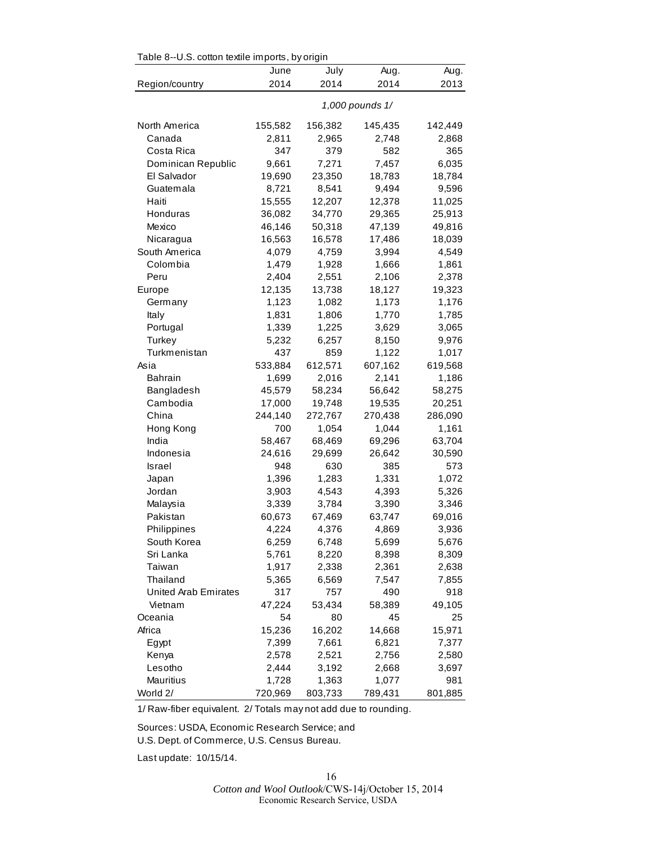| Table 8--0.S. cotton textile imports, by origin |                 |         |         |         |  |
|-------------------------------------------------|-----------------|---------|---------|---------|--|
|                                                 | June            | July    | Aug.    | Aug.    |  |
| Region/country                                  | 2014            | 2014    | 2014    | 2013    |  |
|                                                 | 1,000 pounds 1/ |         |         |         |  |
| North America                                   | 155,582         | 156,382 | 145,435 | 142,449 |  |
| Canada                                          | 2,811           | 2,965   | 2,748   | 2,868   |  |
| Costa Rica                                      | 347             | 379     | 582     | 365     |  |
| Dominican Republic                              | 9,661           | 7,271   | 7,457   | 6,035   |  |
| El Salvador                                     | 19,690          | 23,350  | 18,783  | 18,784  |  |
| Guatemala                                       | 8,721           | 8,541   | 9,494   | 9,596   |  |
| Haiti                                           | 15,555          | 12,207  | 12,378  | 11,025  |  |
| Honduras                                        | 36,082          | 34,770  | 29,365  | 25,913  |  |
| Mexico                                          | 46,146          | 50,318  | 47,139  | 49,816  |  |
| Nicaragua                                       | 16,563          | 16,578  | 17,486  | 18,039  |  |
| South America                                   | 4,079           | 4,759   | 3,994   | 4,549   |  |
| Colombia                                        | 1,479           | 1,928   | 1,666   | 1,861   |  |
| Peru                                            | 2,404           | 2,551   | 2,106   | 2,378   |  |
| Europe                                          | 12,135          | 13,738  | 18,127  | 19,323  |  |
| Germany                                         | 1,123           | 1,082   | 1,173   | 1,176   |  |
| Italy                                           | 1,831           | 1,806   | 1,770   | 1,785   |  |
| Portugal                                        | 1,339           | 1,225   | 3,629   | 3,065   |  |
| Turkey                                          | 5,232           | 6,257   | 8,150   | 9,976   |  |
| Turkmenistan                                    | 437             | 859     | 1,122   | 1,017   |  |
| Asia                                            | 533,884         | 612,571 | 607,162 | 619,568 |  |
| <b>Bahrain</b>                                  | 1,699           | 2,016   | 2,141   | 1,186   |  |
| Bangladesh                                      | 45,579          | 58,234  | 56,642  | 58,275  |  |
| Cambodia                                        | 17,000          | 19,748  | 19,535  | 20,251  |  |
| China                                           | 244,140         | 272,767 | 270,438 | 286,090 |  |
| Hong Kong                                       | 700             | 1,054   | 1,044   | 1,161   |  |
| India                                           | 58,467          | 68,469  | 69,296  | 63,704  |  |
| Indonesia                                       | 24,616          | 29,699  | 26,642  | 30,590  |  |
| <b>Israel</b>                                   | 948             | 630     | 385     | 573     |  |
| Japan                                           | 1,396           | 1,283   | 1,331   | 1,072   |  |
| Jordan                                          | 3,903           | 4,543   | 4,393   | 5,326   |  |
| Malaysia                                        | 3,339           | 3,784   | 3,390   | 3,346   |  |
| Pakistan                                        | 60,673          | 67,469  | 63,747  | 69,016  |  |
| Philippines                                     | 4,224           | 4,376   | 4,869   | 3,936   |  |
| South Korea                                     | 6,259           | 6,748   | 5,699   | 5,676   |  |
| Sri Lanka                                       | 5,761           | 8,220   | 8,398   | 8,309   |  |
| Taiwan                                          | 1,917           | 2,338   | 2,361   | 2,638   |  |
| Thailand                                        | 5,365           | 6,569   | 7,547   | 7,855   |  |
| United Arab Emirates                            | 317             | 757     | 490     | 918     |  |
| Vietnam                                         | 47,224          | 53,434  | 58,389  | 49,105  |  |
| Oceania                                         | 54              | 80      | 45      | 25      |  |
| Africa                                          | 15,236          | 16,202  | 14,668  | 15,971  |  |
| Egypt                                           | 7,399           | 7,661   | 6,821   | 7,377   |  |
| Kenya                                           | 2,578           | 2,521   | 2,756   | 2,580   |  |
| Lesotho                                         | 2,444           | 3,192   | 2,668   | 3,697   |  |
| Mauritius                                       | 1,728           | 1,363   | 1,077   | 981     |  |
| World 2/                                        | 720,969         | 803,733 | 789,431 | 801,885 |  |

 $\mathsf{Table 9-11C}$  cotton textile imports, by origin

1/ Raw-fiber equivalent. 2/ Totals may not add due to rounding.

Sources: USDA, Economic Research Service; and U.S. Dept. of Commerce, U.S. Census Bureau.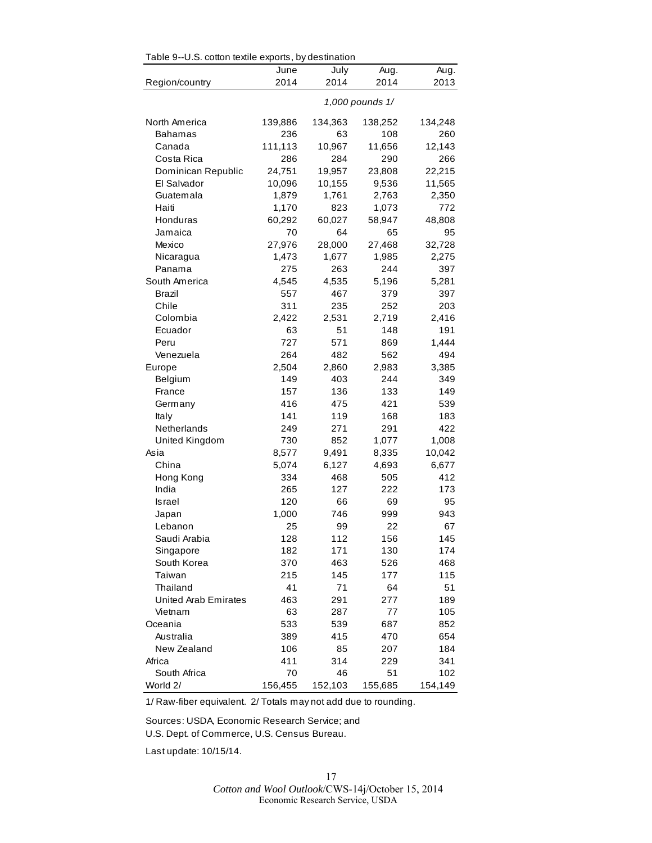|                             | Table 9--0.S. cotton textile exports, by destination |         |         |         |  |  |  |
|-----------------------------|------------------------------------------------------|---------|---------|---------|--|--|--|
|                             | June                                                 | July    | Aug.    | Aug.    |  |  |  |
| Region/country              | 2014                                                 | 2014    | 2014    | 2013    |  |  |  |
|                             | 1,000 pounds 1/                                      |         |         |         |  |  |  |
| North America               | 139,886                                              | 134,363 | 138,252 | 134,248 |  |  |  |
| Bahamas                     | 236                                                  | 63      | 108     | 260     |  |  |  |
| Canada                      | 111,113                                              | 10,967  | 11,656  | 12,143  |  |  |  |
| Costa Rica                  | 286                                                  | 284     | 290     | 266     |  |  |  |
| Dominican Republic          | 24,751                                               | 19,957  | 23,808  | 22,215  |  |  |  |
| El Salvador                 | 10,096                                               | 10,155  | 9,536   | 11,565  |  |  |  |
| Guatemala                   | 1,879                                                | 1,761   | 2,763   | 2,350   |  |  |  |
| Haiti                       | 1,170                                                | 823     | 1,073   | 772     |  |  |  |
| Honduras                    | 60,292                                               | 60,027  | 58,947  | 48,808  |  |  |  |
| Jamaica                     | 70                                                   | 64      | 65      | 95      |  |  |  |
| Mexico                      | 27,976                                               | 28,000  | 27,468  | 32,728  |  |  |  |
| Nicaragua                   | 1,473                                                | 1,677   | 1,985   | 2,275   |  |  |  |
| Panama                      | 275                                                  | 263     | 244     | 397     |  |  |  |
| South America               | 4,545                                                | 4,535   | 5,196   | 5,281   |  |  |  |
| Brazil                      | 557                                                  | 467     | 379     | 397     |  |  |  |
| Chile                       | 311                                                  | 235     | 252     | 203     |  |  |  |
| Colombia                    | 2,422                                                | 2,531   | 2,719   | 2,416   |  |  |  |
| Ecuador                     | 63                                                   | 51      | 148     | 191     |  |  |  |
| Peru                        | 727                                                  | 571     | 869     | 1,444   |  |  |  |
| Venezuela                   | 264                                                  | 482     | 562     | 494     |  |  |  |
| Europe                      | 2,504                                                | 2,860   | 2,983   | 3,385   |  |  |  |
| Belgium                     | 149                                                  | 403     | 244     | 349     |  |  |  |
| France                      | 157                                                  | 136     | 133     | 149     |  |  |  |
| Germany                     | 416                                                  | 475     | 421     | 539     |  |  |  |
| Italy                       | 141                                                  | 119     | 168     | 183     |  |  |  |
| Netherlands                 | 249                                                  | 271     | 291     | 422     |  |  |  |
| United Kingdom              | 730                                                  | 852     | 1,077   | 1,008   |  |  |  |
| Asia                        | 8,577                                                | 9,491   | 8,335   | 10,042  |  |  |  |
| China                       | 5,074                                                | 6,127   | 4,693   | 6,677   |  |  |  |
| Hong Kong                   | 334                                                  | 468     | 505     | 412     |  |  |  |
| India                       | 265                                                  | 127     | 222     | 173     |  |  |  |
| <b>Israel</b>               | 120                                                  | 66      | 69      | 95      |  |  |  |
| Japan                       | 1,000                                                | 746     | 999     | 943     |  |  |  |
| Lebanon                     | 25                                                   | 99      | 22      | 67      |  |  |  |
| Saudi Arabia                | 128                                                  | 112     | 156     | 145     |  |  |  |
| Singapore                   | 182                                                  | 171     | 130     | 174     |  |  |  |
| South Korea                 | 370                                                  | 463     | 526     | 468     |  |  |  |
| Taiwan                      | 215                                                  | 145     | 177     | 115     |  |  |  |
| Thailand                    | 41                                                   | 71      | 64      | 51      |  |  |  |
| <b>United Arab Emirates</b> | 463                                                  | 291     | 277     | 189     |  |  |  |
| Vietnam                     | 63                                                   | 287     | 77      | 105     |  |  |  |
| Oceania                     | 533                                                  | 539     | 687     | 852     |  |  |  |
| Australia                   | 389                                                  | 415     | 470     | 654     |  |  |  |
| New Zealand                 | 106                                                  | 85      | 207     | 184     |  |  |  |
| Africa                      | 411                                                  | 314     | 229     | 341     |  |  |  |
| South Africa                | 70                                                   | 46      | 51      | 102     |  |  |  |
| World 2/                    | 156,455                                              | 152,103 | 155,685 | 154,149 |  |  |  |

 $Table 9-118$  cotton textile exports, by destination

1/ Raw-fiber equivalent. 2/ Totals may not add due to rounding.

Sources: USDA, Economic Research Service; and

U.S. Dept. of Commerce, U.S. Census Bureau.